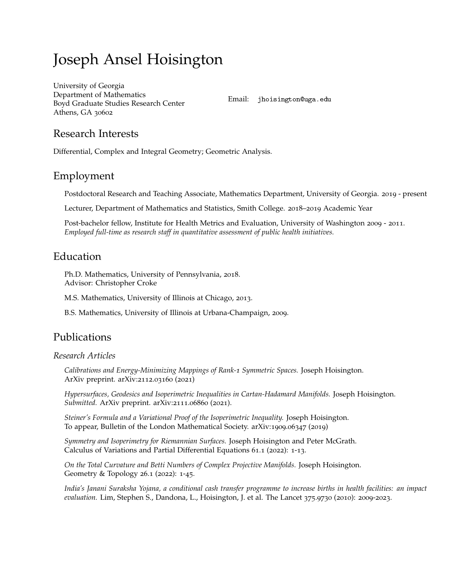# Joseph Ansel Hoisington

[University of Georgia](http://www.math.uga.edu) Department of Mathematics Boyd Graduate Studies Research Center Athens, GA 30602

Email: [jhoisington@uga.edu](mailto:jhoisington@uga.edu)

### Research Interests

Differential, Complex and Integral Geometry; Geometric Analysis.

### Employment

Postdoctoral Research and Teaching Associate, Mathematics Department, University of Georgia. 2019 - present

Lecturer, Department of Mathematics and Statistics, Smith College. 2018–2019 Academic Year

Post-bachelor fellow, Institute for Health Metrics and Evaluation, University of Washington 2009 - 2011. *Employed full-time as research staff in quantitative assessment of public health initiatives.*

# Education

Ph.D. Mathematics, University of Pennsylvania, 2018. Advisor: Christopher Croke

M.S. Mathematics, University of Illinois at Chicago, 2013.

B.S. Mathematics, University of Illinois at Urbana-Champaign, 2009.

# Publications

### *Research Articles*

*Calibrations and Energy-Minimizing Mappings of Rank-1 Symmetric Spaces.* Joseph Hoisington. [ArXiv preprint. arXiv:](https://arxiv.org/abs/2112.03160)2112.03160 (2021)

*Hypersurfaces, Geodesics and Isoperimetric Inequalities in Cartan-Hadamard Manifolds.* Joseph Hoisington. *Submitted.* [ArXiv preprint. arXiv:](https://arxiv.org/abs/2111.06860)2111.06860 (2021).

*Steiner's Formula and a Variational Proof of the Isoperimetric Inequality.* Joseph Hoisington. To appear, Bulletin of the London Mathematical Society. [arXiv:](https://arxiv.org/abs/1909.06347)1909.06347 (2019)

*Symmetry and Isoperimetry for Riemannian Surfaces.* Joseph Hoisington and Peter McGrath. Calculus of Variations and Partial Differential Equations 61.1 (2022): 1-13.

*On the Total Curvature and Betti Numbers of Complex Projective Manifolds.* Joseph Hoisington. Geometry & Topology 26.1 (2022): 1-45.

*India's Janani Suraksha Yojana, a conditional cash transfer programme to increase births in health facilities: an impact evaluation.* Lim, Stephen S., Dandona, L., Hoisington, J. et al. The Lancet 375.9730 (2010): 2009-2023.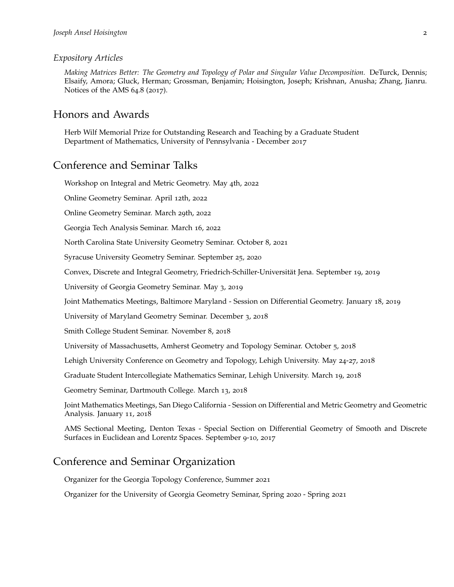#### *Expository Articles*

*Making Matrices Better: The Geometry and Topology of Polar and Singular Value Decomposition.* DeTurck, Dennis; Elsaify, Amora; Gluck, Herman; Grossman, Benjamin; Hoisington, Joseph; Krishnan, Anusha; Zhang, Jianru. Notices of the AMS 64.8 (2017).

### Honors and Awards

Herb Wilf Memorial Prize for Outstanding Research and Teaching by a Graduate Student Department of Mathematics, University of Pennsylvania - December 2017

### Conference and Seminar Talks

Workshop on Integral and Metric Geometry. May 4th, 2022

Online Geometry Seminar. April 12th, 2022

Online Geometry Seminar. March 29th, 2022

Georgia Tech Analysis Seminar. March 16, 2022

North Carolina State University Geometry Seminar. October 8, 2021

Syracuse University Geometry Seminar. September 25, 2020

Convex, Discrete and Integral Geometry, Friedrich-Schiller-Universität Jena. September 19, 2019

University of Georgia Geometry Seminar. May 3, 2019

Joint Mathematics Meetings, Baltimore Maryland - Session on Differential Geometry. January 18, 2019

University of Maryland Geometry Seminar. December 3, 2018

Smith College Student Seminar. November 8, 2018

University of Massachusetts, Amherst Geometry and Topology Seminar. October 5, 2018

Lehigh University Conference on Geometry and Topology, Lehigh University. May 24-27, 2018

Graduate Student Intercollegiate Mathematics Seminar, Lehigh University. March 19, 2018

Geometry Seminar, Dartmouth College. March 13, 2018

Joint Mathematics Meetings, San Diego California - Session on Differential and Metric Geometry and Geometric Analysis. January 11, 2018

AMS Sectional Meeting, Denton Texas - Special Section on Differential Geometry of Smooth and Discrete Surfaces in Euclidean and Lorentz Spaces. September 9-10, 2017

## Conference and Seminar Organization

Organizer for the Georgia Topology Conference, Summer 2021

Organizer for the University of Georgia Geometry Seminar, Spring 2020 - Spring 2021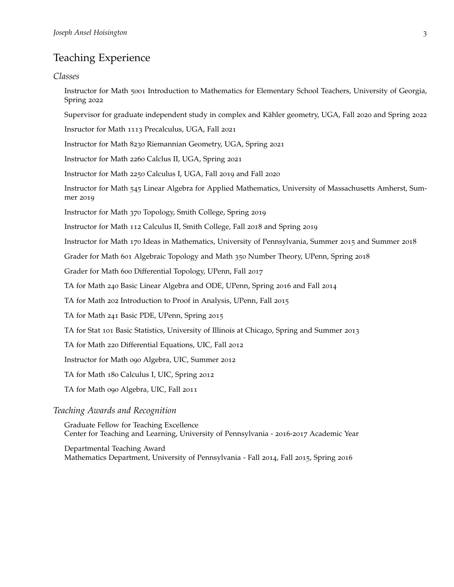# Teaching Experience

#### *Classes*

Instructor for Math 5001 Introduction to Mathematics for Elementary School Teachers, University of Georgia, Spring 2022

Supervisor for graduate independent study in complex and Kähler geometry, UGA, Fall 2020 and Spring 2022

Insructor for Math 1113 Precalculus, UGA, Fall 2021

Instructor for Math 8230 Riemannian Geometry, UGA, Spring 2021

Instructor for Math 2260 Calclus II, UGA, Spring 2021

Instructor for Math 2250 Calculus I, UGA, Fall 2019 and Fall 2020

Instructor for Math 545 Linear Algebra for Applied Mathematics, University of Massachusetts Amherst, Summer 2019

Instructor for Math 370 Topology, Smith College, Spring 2019

Instructor for Math 112 Calculus II, Smith College, Fall 2018 and Spring 2019

Instructor for Math 170 Ideas in Mathematics, University of Pennsylvania, Summer 2015 and Summer 2018

Grader for Math 601 Algebraic Topology and Math 350 Number Theory, UPenn, Spring 2018

Grader for Math 600 Differential Topology, UPenn, Fall 2017

TA for Math 240 Basic Linear Algebra and ODE, UPenn, Spring 2016 and Fall 2014

TA for Math 202 Introduction to Proof in Analysis, UPenn, Fall 2015

TA for Math 241 Basic PDE, UPenn, Spring 2015

TA for Stat 101 Basic Statistics, University of Illinois at Chicago, Spring and Summer 2013

TA for Math 220 Differential Equations, UIC, Fall 2012

Instructor for Math 090 Algebra, UIC, Summer 2012

TA for Math 180 Calculus I, UIC, Spring 2012

TA for Math 090 Algebra, UIC, Fall 2011

#### *Teaching Awards and Recognition*

Graduate Fellow for Teaching Excellence Center for Teaching and Learning, University of Pennsylvania - 2016-2017 Academic Year

Departmental Teaching Award Mathematics Department, University of Pennsylvania - Fall 2014, Fall 2015, Spring 2016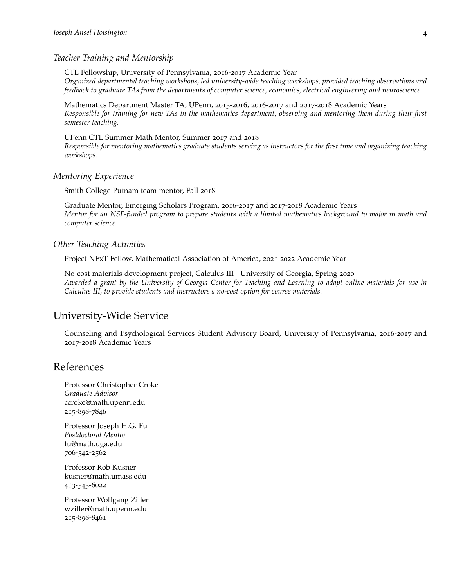#### *Teacher Training and Mentorship*

CTL Fellowship, University of Pennsylvania, 2016-2017 Academic Year *Organized departmental teaching workshops, led university-wide teaching workshops, provided teaching observations and feedback to graduate TAs from the departments of computer science, economics, electrical engineering and neuroscience.*

Mathematics Department Master TA, UPenn, 2015-2016, 2016-2017 and 2017-2018 Academic Years *Responsible for training for new TAs in the mathematics department, observing and mentoring them during their first semester teaching.*

UPenn CTL Summer Math Mentor, Summer 2017 and 2018 *Responsible for mentoring mathematics graduate students serving as instructors for the first time and organizing teaching workshops.*

#### *Mentoring Experience*

Smith College Putnam team mentor, Fall 2018

Graduate Mentor, Emerging Scholars Program, 2016-2017 and 2017-2018 Academic Years *Mentor for an NSF-funded program to prepare students with a limited mathematics background to major in math and computer science.*

#### *Other Teaching Activities*

Project NExT Fellow, Mathematical Association of America, 2021-2022 Academic Year

No-cost materials development project, Calculus III - University of Georgia, Spring 2020 *Awarded a grant by the University of Georgia Center for Teaching and Learning to adapt online materials for use in Calculus III, to provide students and instructors a no-cost option for course materials.*

### University-Wide Service

Counseling and Psychological Services Student Advisory Board, University of Pennsylvania, 2016-2017 and 2017-2018 Academic Years

### References

Professor Christopher Croke *Graduate Advisor* ccroke@math.upenn.edu 215-898-7846

Professor Joseph H.G. Fu *Postdoctoral Mentor* fu@math.uga.edu 706-542-2562

Professor Rob Kusner kusner@math.umass.edu 413-545-6022

Professor Wolfgang Ziller wziller@math.upenn.edu 215-898-8461